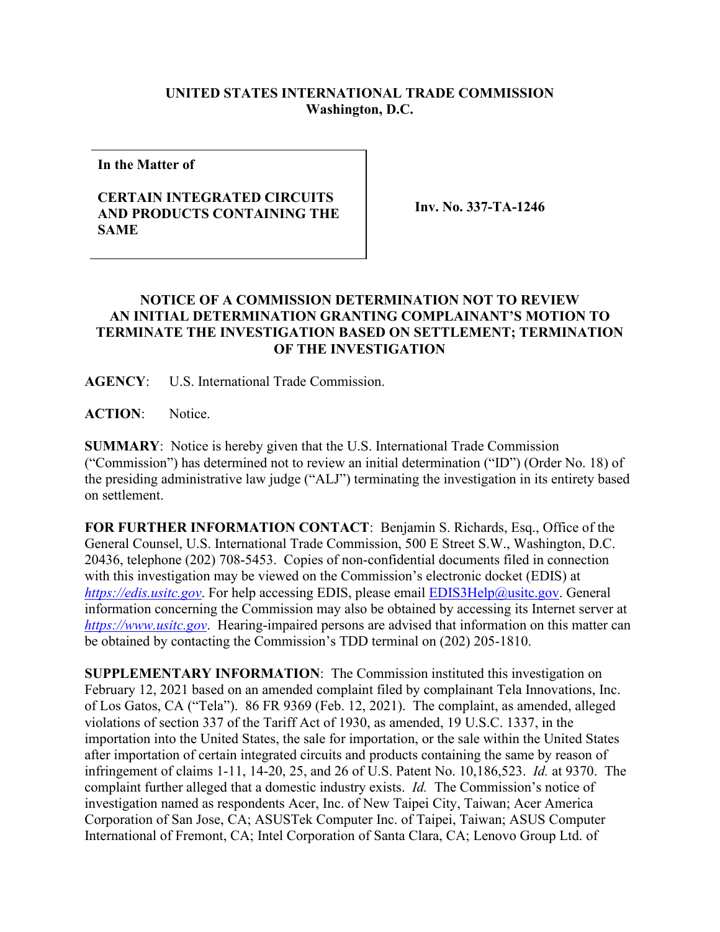## **UNITED STATES INTERNATIONAL TRADE COMMISSION Washington, D.C.**

**In the Matter of**

## **CERTAIN INTEGRATED CIRCUITS AND PRODUCTS CONTAINING THE SAME**

**Inv. No. 337-TA-1246**

## **NOTICE OF A COMMISSION DETERMINATION NOT TO REVIEW AN INITIAL DETERMINATION GRANTING COMPLAINANT'S MOTION TO TERMINATE THE INVESTIGATION BASED ON SETTLEMENT; TERMINATION OF THE INVESTIGATION**

**AGENCY**: U.S. International Trade Commission.

**ACTION**: Notice.

**SUMMARY**: Notice is hereby given that the U.S. International Trade Commission ("Commission") has determined not to review an initial determination ("ID") (Order No. 18) of the presiding administrative law judge ("ALJ") terminating the investigation in its entirety based on settlement.

**FOR FURTHER INFORMATION CONTACT**: Benjamin S. Richards, Esq., Office of the General Counsel, U.S. International Trade Commission, 500 E Street S.W., Washington, D.C. 20436, telephone (202) 708-5453. Copies of non-confidential documents filed in connection with this investigation may be viewed on the Commission's electronic docket (EDIS) at *[https://edis.usitc.gov](https://edis.usitc.gov/).* For help accessing EDIS, please email [EDIS3Help@usitc.gov.](mailto:EDIS3Help@usitc.gov) General information concerning the Commission may also be obtained by accessing its Internet server at *[https://www.usitc.gov](https://www.usitc.gov/)*. Hearing-impaired persons are advised that information on this matter can be obtained by contacting the Commission's TDD terminal on (202) 205-1810.

**SUPPLEMENTARY INFORMATION**: The Commission instituted this investigation on February 12, 2021 based on an amended complaint filed by complainant Tela Innovations, Inc. of Los Gatos, CA ("Tela"). 86 FR 9369 (Feb. 12, 2021). The complaint, as amended, alleged violations of section 337 of the Tariff Act of 1930, as amended, 19 U.S.C. 1337, in the importation into the United States, the sale for importation, or the sale within the United States after importation of certain integrated circuits and products containing the same by reason of infringement of claims 1-11, 14-20, 25, and 26 of U.S. Patent No. 10,186,523. *Id.* at 9370. The complaint further alleged that a domestic industry exists. *Id.* The Commission's notice of investigation named as respondents Acer, Inc. of New Taipei City, Taiwan; Acer America Corporation of San Jose, CA; ASUSTek Computer Inc. of Taipei, Taiwan; ASUS Computer International of Fremont, CA; Intel Corporation of Santa Clara, CA; Lenovo Group Ltd. of